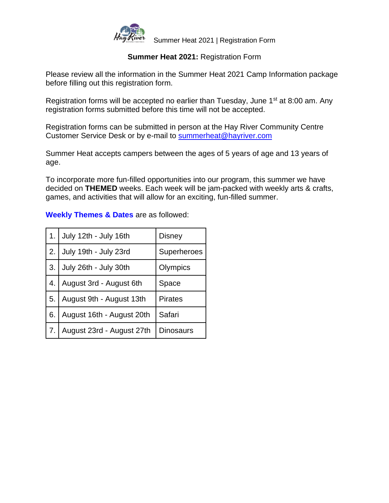

## **Summer Heat 2021:** Registration Form

Please review all the information in the Summer Heat 2021 Camp Information package before filling out this registration form.

Registration forms will be accepted no earlier than Tuesday, June 1<sup>st</sup> at 8:00 am. Any registration forms submitted before this time will not be accepted.

Registration forms can be submitted in person at the Hay River Community Centre Customer Service Desk or by e-mail to [summerheat@hayriver.com](mailto:summerheat@hayriver.com)

Summer Heat accepts campers between the ages of 5 years of age and 13 years of age.

To incorporate more fun-filled opportunities into our program, this summer we have decided on **THEMED** weeks. Each week will be jam-packed with weekly arts & crafts, games, and activities that will allow for an exciting, fun-filled summer.

| 1. | July 12th - July 16th<br><b>Disney</b> |                    |  |
|----|----------------------------------------|--------------------|--|
| 2. | July 19th - July 23rd                  | <b>Superheroes</b> |  |
| 3. | July 26th - July 30th                  | Olympics           |  |
| 4. | August 3rd - August 6th                | Space              |  |
| 5. | August 9th - August 13th               | <b>Pirates</b>     |  |
| 6. | August 16th - August 20th              | Safari             |  |
| 7. | August 23rd - August 27th              | <b>Dinosaurs</b>   |  |

**Weekly Themes & Dates** are as followed: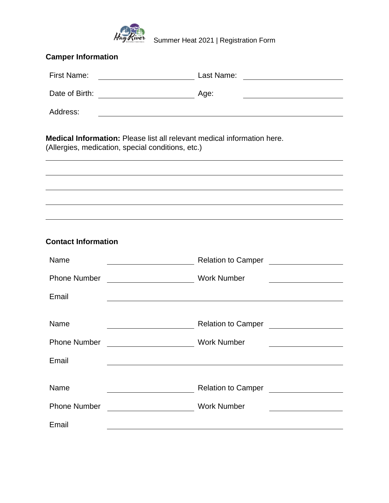

Hay River<br>Summer Heat 2021 | Registration Form

| <b>Camper Information</b>                                                                                                           |                                                                                                                                                                                                                                                     |  |  |  |  |  |
|-------------------------------------------------------------------------------------------------------------------------------------|-----------------------------------------------------------------------------------------------------------------------------------------------------------------------------------------------------------------------------------------------------|--|--|--|--|--|
| <b>First Name:</b>                                                                                                                  | Last Name:<br><u> 1989 - Andrea Station Barbara, amerikan per</u>                                                                                                                                                                                   |  |  |  |  |  |
| Date of Birth:                                                                                                                      | <u> 2000 - Andrea Albert III, politik eta politik eta politik eta politik eta politik eta politik eta politik e</u><br>Age:<br><u> 1980 - Johann Barn, mars eta bainar eta bat erroman erroman erroman erroman erroman erroman erroman erroman </u> |  |  |  |  |  |
| Address:                                                                                                                            | and the control of the control of the control of the control of the control of the control of the control of the                                                                                                                                    |  |  |  |  |  |
| <b>Medical Information:</b> Please list all relevant medical information here.<br>(Allergies, medication, special conditions, etc.) |                                                                                                                                                                                                                                                     |  |  |  |  |  |
|                                                                                                                                     |                                                                                                                                                                                                                                                     |  |  |  |  |  |
|                                                                                                                                     |                                                                                                                                                                                                                                                     |  |  |  |  |  |
|                                                                                                                                     |                                                                                                                                                                                                                                                     |  |  |  |  |  |
| <b>Contact Information</b>                                                                                                          |                                                                                                                                                                                                                                                     |  |  |  |  |  |
| Name                                                                                                                                |                                                                                                                                                                                                                                                     |  |  |  |  |  |
| <b>Phone Number</b>                                                                                                                 | <b>Work Number</b>                                                                                                                                                                                                                                  |  |  |  |  |  |
| Email                                                                                                                               |                                                                                                                                                                                                                                                     |  |  |  |  |  |
| Name                                                                                                                                | Relation to Camper Nelson States and Security Assembly                                                                                                                                                                                              |  |  |  |  |  |
| <b>Phone Number</b>                                                                                                                 | <b>Work Number</b>                                                                                                                                                                                                                                  |  |  |  |  |  |
| Email                                                                                                                               |                                                                                                                                                                                                                                                     |  |  |  |  |  |
|                                                                                                                                     |                                                                                                                                                                                                                                                     |  |  |  |  |  |
| Name                                                                                                                                | Relation to Camper<br><u> </u>                                                                                                                                                                                                                      |  |  |  |  |  |
| <b>Phone Number</b>                                                                                                                 | <b>Work Number</b>                                                                                                                                                                                                                                  |  |  |  |  |  |
| Email                                                                                                                               |                                                                                                                                                                                                                                                     |  |  |  |  |  |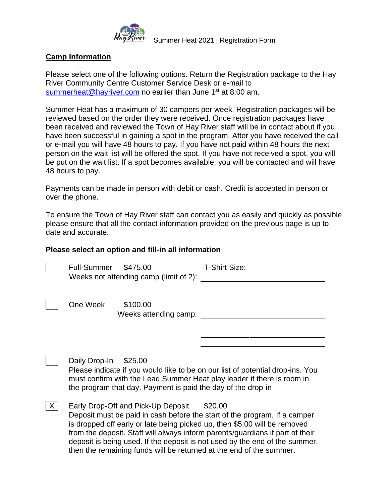

### **Camp Information**

Please select one of the following options. Return the Registration package to the Hay River Community Centre Customer Service Desk or e-mail to [summerheat@hayriver.com](mailto:summerheat@hayriver.com) no earlier than June 1<sup>st</sup> at 8:00 am.

Summer Heat has a maximum of 30 campers per week. Registration packages will be reviewed based on the order they were received. Once registration packages have been received and reviewed the Town of Hay River staff will be in contact about if you have been successful in gaining a spot in the program. After you have received the call or e-mail you will have 48 hours to pay. If you have not paid within 48 hours the next person on the wait list will be offered the spot. If you have not received a spot, you will be put on the wait list. If a spot becomes available, you will be contacted and will have 48 hours to pay.

Payments can be made in person with debit or cash. Credit is accepted in person or over the phone.

To ensure the Town of Hay River staff can contact you as easily and quickly as possible please ensure that all the contact information provided on the previous page is up to date and accurate.

#### **Please select an option and fill-in all information**

|   | <b>Full-Summer</b> | \$475.00<br>Weeks not attending camp (limit of 2):                      | <b>T-Shirt Size:</b>                                                                                                                                     |
|---|--------------------|-------------------------------------------------------------------------|----------------------------------------------------------------------------------------------------------------------------------------------------------|
|   | One Week           | \$100.00<br>Weeks attending camp:                                       |                                                                                                                                                          |
|   | Daily Drop-In      | \$25.00<br>the program that day. Payment is paid the day of the drop-in | Please indicate if you would like to be on our list of potential drop-ins. You<br>must confirm with the Lead Summer Heat play leader if there is room in |
| X |                    | Early Drop-Off and Pick-Up Deposit                                      | \$20.00                                                                                                                                                  |

Deposit must be paid in cash before the start of the program. If a camper is dropped off early or late being picked up, then \$5.00 will be removed from the deposit. Staff will always inform parents/guardians if part of their deposit is being used. If the deposit is not used by the end of the summer, then the remaining funds will be returned at the end of the summer.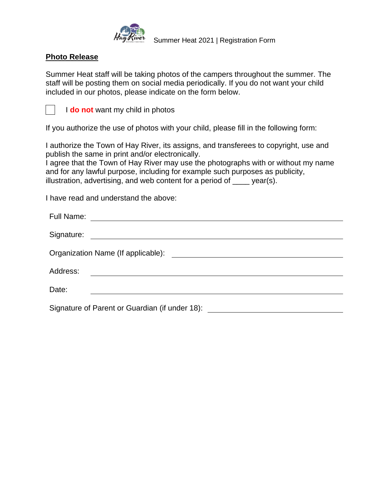

# **Photo Release**

Summer Heat staff will be taking photos of the campers throughout the summer. The staff will be posting them on social media periodically. If you do not want your child included in our photos, please indicate on the form below.



I **do not** want my child in photos

If you authorize the use of photos with your child, please fill in the following form:

I authorize the Town of Hay River, its assigns, and transferees to copyright, use and publish the same in print and/or electronically.

I agree that the Town of Hay River may use the photographs with or without my name and for any lawful purpose, including for example such purposes as publicity, illustration, advertising, and web content for a period of \_\_\_\_ year(s).

I have read and understand the above:

| Full Name:<br><u> 1980 - Andrea Albert III, politik a postal de la provincia de la provincia de la provincia de la provincia d</u> |  |  |  |  |
|------------------------------------------------------------------------------------------------------------------------------------|--|--|--|--|
|                                                                                                                                    |  |  |  |  |
|                                                                                                                                    |  |  |  |  |
| Address:<br><u> 1980 - Johann John Stone, mars et al. (b. 1980)</u>                                                                |  |  |  |  |
| Date:                                                                                                                              |  |  |  |  |
| Signature of Parent or Guardian (if under 18):                                                                                     |  |  |  |  |